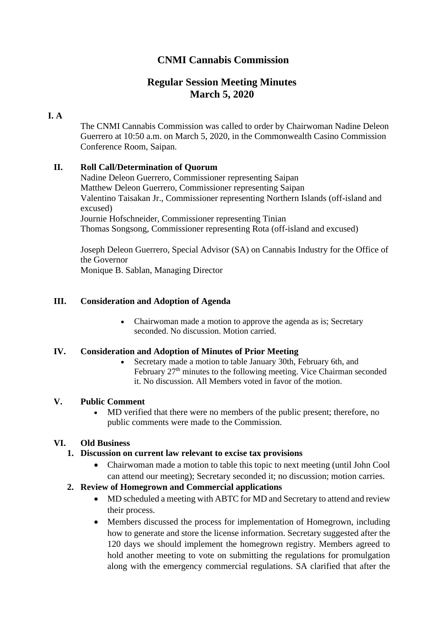# **CNMI Cannabis Commission**

## **Regular Session Meeting Minutes March 5, 2020**

## **I. A**

The CNMI Cannabis Commission was called to order by Chairwoman Nadine Deleon Guerrero at 10:50 a.m. on March 5, 2020, in the Commonwealth Casino Commission Conference Room, Saipan.

## **II. Roll Call/Determination of Quorum**

Nadine Deleon Guerrero, Commissioner representing Saipan Matthew Deleon Guerrero, Commissioner representing Saipan Valentino Taisakan Jr., Commissioner representing Northern Islands (off-island and excused) Journie Hofschneider, Commissioner representing Tinian Thomas Songsong, Commissioner representing Rota (off-island and excused)

Joseph Deleon Guerrero, Special Advisor (SA) on Cannabis Industry for the Office of the Governor Monique B. Sablan, Managing Director

## **III. Consideration and Adoption of Agenda**

• Chairwoman made a motion to approve the agenda as is; Secretary seconded. No discussion. Motion carried.

### **IV. Consideration and Adoption of Minutes of Prior Meeting**

• Secretary made a motion to table January 30th, February 6th, and February 27<sup>th</sup> minutes to the following meeting. Vice Chairman seconded it. No discussion. All Members voted in favor of the motion.

### **V. Public Comment**

• MD verified that there were no members of the public present; therefore, no public comments were made to the Commission.

## **VI. Old Business**

### **1. Discussion on current law relevant to excise tax provisions**

• Chairwoman made a motion to table this topic to next meeting (until John Cool can attend our meeting); Secretary seconded it; no discussion; motion carries.

## **2. Review of Homegrown and Commercial applications**

- MD scheduled a meeting with ABTC for MD and Secretary to attend and review their process.
- Members discussed the process for implementation of Homegrown, including how to generate and store the license information. Secretary suggested after the 120 days we should implement the homegrown registry. Members agreed to hold another meeting to vote on submitting the regulations for promulgation along with the emergency commercial regulations. SA clarified that after the